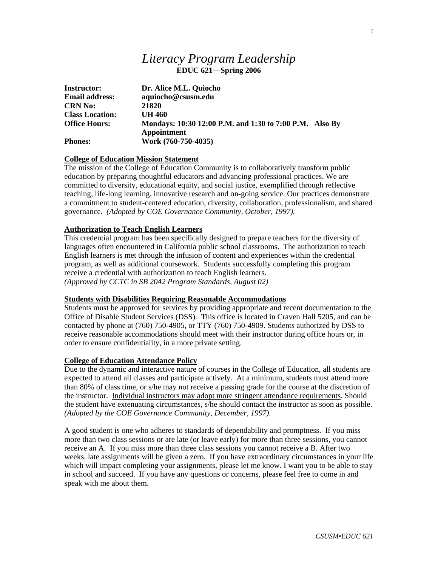# *Literacy Program Leadership*  **EDUC 621—Spring 2006**

| <b>Instructor:</b>     | Dr. Alice M.L. Quiocho                                                 |
|------------------------|------------------------------------------------------------------------|
| <b>Email address:</b>  | aquiocho@csusm.edu                                                     |
| <b>CRN No:</b>         | 21820                                                                  |
| <b>Class Location:</b> | UH 460                                                                 |
| <b>Office Hours:</b>   | Mondays: 10:30 12:00 P.M. and 1:30 to 7:00 P.M. Also By<br>Appointment |
| <b>Phones:</b>         | Work (760-750-4035)                                                    |

# **College of Education Mission Statement**

The mission of the College of Education Community is to collaboratively transform public education by preparing thoughtful educators and advancing professional practices. We are committed to diversity, educational equity, and social justice, exemplified through reflective teaching, life-long learning, innovative research and on-going service. Our practices demonstrate a commitment to student-centered education, diversity, collaboration, professionalism, and shared governance. *(Adopted by COE Governance Community, October, 1997).* 

# **Authorization to Teach English Learners**

This credential program has been specifically designed to prepare teachers for the diversity of languages often encountered in California public school classrooms. The authorization to teach English learners is met through the infusion of content and experiences within the credential program, as well as additional coursework. Students successfully completing this program receive a credential with authorization to teach English learners. *(Approved by CCTC in SB 2042 Program Standards, August 02)*

# **Students with Disabilities Requiring Reasonable Accommodations**

Students must be approved for services by providing appropriate and recent documentation to the Office of Disable Student Services (DSS). This office is located in Craven Hall 5205, and can be contacted by phone at (760) 750-4905, or TTY (760) 750-4909. Students authorized by DSS to receive reasonable accommodations should meet with their instructor during office hours or, in order to ensure confidentiality, in a more private setting.

# **College of Education Attendance Policy**

Due to the dynamic and interactive nature of courses in the College of Education, all students are expected to attend all classes and participate actively. At a minimum, students must attend more than 80% of class time, or s/he may not receive a passing grade for the course at the discretion of the instructor. Individual instructors may adopt more stringent attendance requirements. Should the student have extenuating circumstances, s/he should contact the instructor as soon as possible. *(Adopted by the COE Governance Community, December, 1997).*

A good student is one who adheres to standards of dependability and promptness. If you miss more than two class sessions or are late (or leave early) for more than three sessions, you cannot receive an A. If you miss more than three class sessions you cannot receive a B. After two weeks, late assignments will be given a zero. If you have extraordinary circumstances in your life which will impact completing your assignments, please let me know. I want you to be able to stay in school and succeed. If you have any questions or concerns, please feel free to come in and speak with me about them.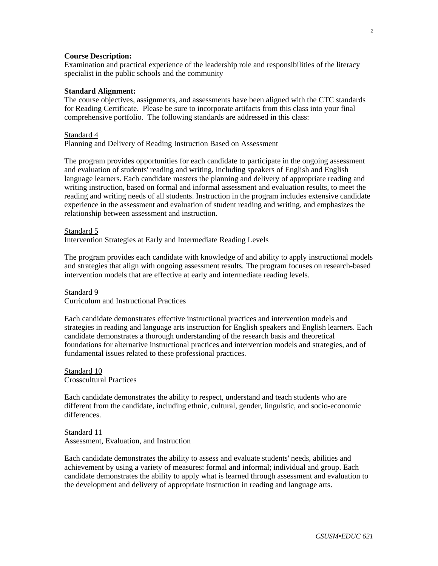### **Course Description:**

Examination and practical experience of the leadership role and responsibilities of the literacy specialist in the public schools and the community

### **Standard Alignment:**

The course objectives, assignments, and assessments have been aligned with the CTC standards for Reading Certificate. Please be sure to incorporate artifacts from this class into your final comprehensive portfolio. The following standards are addressed in this class:

#### Standard 4

Planning and Delivery of Reading Instruction Based on Assessment

The program provides opportunities for each candidate to participate in the ongoing assessment and evaluation of students' reading and writing, including speakers of English and English language learners. Each candidate masters the planning and delivery of appropriate reading and writing instruction, based on formal and informal assessment and evaluation results, to meet the reading and writing needs of all students. Instruction in the program includes extensive candidate experience in the assessment and evaluation of student reading and writing, and emphasizes the relationship between assessment and instruction.

Standard 5

Intervention Strategies at Early and Intermediate Reading Levels

The program provides each candidate with knowledge of and ability to apply instructional models and strategies that align with ongoing assessment results. The program focuses on research-based intervention models that are effective at early and intermediate reading levels.

#### Standard 9

Curriculum and Instructional Practices

Each candidate demonstrates effective instructional practices and intervention models and strategies in reading and language arts instruction for English speakers and English learners. Each candidate demonstrates a thorough understanding of the research basis and theoretical foundations for alternative instructional practices and intervention models and strategies, and of fundamental issues related to these professional practices.

Standard 10 Crosscultural Practices

Each candidate demonstrates the ability to respect, understand and teach students who are different from the candidate, including ethnic, cultural, gender, linguistic, and socio-economic differences.

Standard 11 Assessment, Evaluation, and Instruction

Each candidate demonstrates the ability to assess and evaluate students' needs, abilities and achievement by using a variety of measures: formal and informal; individual and group. Each candidate demonstrates the ability to apply what is learned through assessment and evaluation to the development and delivery of appropriate instruction in reading and language arts.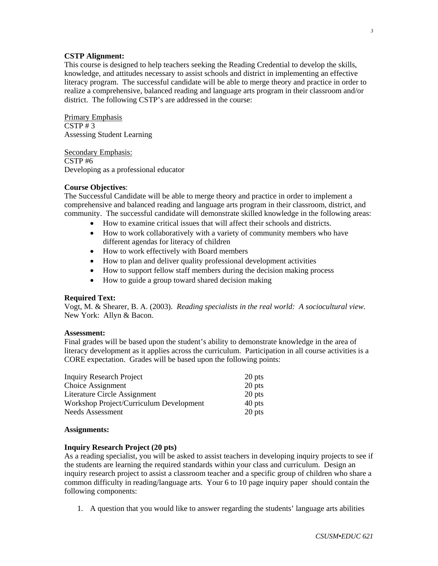### **CSTP Alignment:**

This course is designed to help teachers seeking the Reading Credential to develop the skills, knowledge, and attitudes necessary to assist schools and district in implementing an effective literacy program. The successful candidate will be able to merge theory and practice in order to realize a comprehensive, balanced reading and language arts program in their classroom and/or district. The following CSTP's are addressed in the course:

Primary Emphasis  $CSTP \# 3$ Assessing Student Learning

Secondary Emphasis: CSTP #6 Developing as a professional educator

# **Course Objectives**:

The Successful Candidate will be able to merge theory and practice in order to implement a comprehensive and balanced reading and language arts program in their classroom, district, and community. The successful candidate will demonstrate skilled knowledge in the following areas:

- How to examine critical issues that will affect their schools and districts.
- How to work collaboratively with a variety of community members who have different agendas for literacy of children
- How to work effectively with Board members
- How to plan and deliver quality professional development activities
- How to support fellow staff members during the decision making process
- How to guide a group toward shared decision making

#### **Required Text:**

Vogt, M. & Shearer, B. A. (2003). *Reading specialists in the real world: A sociocultural view.*  New York: Allyn & Bacon.

#### **Assessment:**

Final grades will be based upon the student's ability to demonstrate knowledge in the area of literacy development as it applies across the curriculum. Participation in all course activities is a CORE expectation. Grades will be based upon the following points:

| <b>Inquiry Research Project</b>         | 20 pts   |
|-----------------------------------------|----------|
| Choice Assignment                       | $20$ pts |
| Literature Circle Assignment            | 20 pts   |
| Workshop Project/Curriculum Development | 40 pts   |
| Needs Assessment                        | 20 pts   |

#### **Assignments:**

# **Inquiry Research Project (20 pts)**

As a reading specialist, you will be asked to assist teachers in developing inquiry projects to see if the students are learning the required standards within your class and curriculum. Design an inquiry research project to assist a classroom teacher and a specific group of children who share a common difficulty in reading/language arts. Your 6 to 10 page inquiry paper should contain the following components:

1. A question that you would like to answer regarding the students' language arts abilities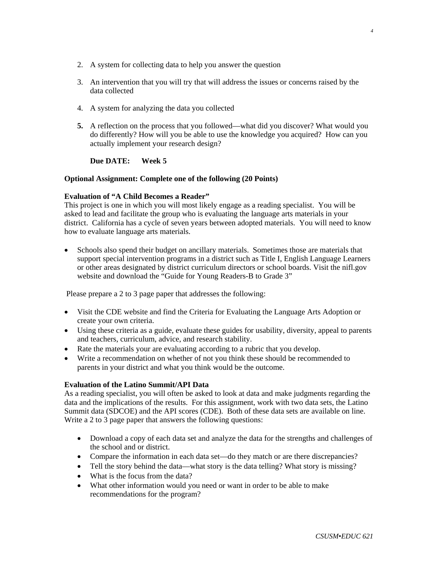- 2. A system for collecting data to help you answer the question
- 3. An intervention that you will try that will address the issues or concerns raised by the data collected
- 4. A system for analyzing the data you collected
- **5.** A reflection on the process that you followed—what did you discover? What would you do differently? How will you be able to use the knowledge you acquired? How can you actually implement your research design?

# **Due DATE: Week 5**

# **Optional Assignment: Complete one of the following (20 Points)**

# **Evaluation of "A Child Becomes a Reader"**

This project is one in which you will most likely engage as a reading specialist. You will be asked to lead and facilitate the group who is evaluating the language arts materials in your district. California has a cycle of seven years between adopted materials. You will need to know how to evaluate language arts materials.

• Schools also spend their budget on ancillary materials. Sometimes those are materials that support special intervention programs in a district such as Title I, English Language Learners or other areas designated by district curriculum directors or school boards. Visit the nifl.gov website and download the "Guide for Young Readers-B to Grade 3"

Please prepare a 2 to 3 page paper that addresses the following:

- Visit the CDE website and find the Criteria for Evaluating the Language Arts Adoption or create your own criteria.
- Using these criteria as a guide, evaluate these guides for usability, diversity, appeal to parents and teachers, curriculum, advice, and research stability.
- Rate the materials your are evaluating according to a rubric that you develop.
- Write a recommendation on whether of not you think these should be recommended to parents in your district and what you think would be the outcome.

# **Evaluation of the Latino Summit/API Data**

As a reading specialist, you will often be asked to look at data and make judgments regarding the data and the implications of the results. For this assignment, work with two data sets, the Latino Summit data (SDCOE) and the API scores (CDE). Both of these data sets are available on line. Write a 2 to 3 page paper that answers the following questions:

- Download a copy of each data set and analyze the data for the strengths and challenges of the school and or district.
- Compare the information in each data set—do they match or are there discrepancies?
- Tell the story behind the data—what story is the data telling? What story is missing?
- What is the focus from the data?
- What other information would you need or want in order to be able to make recommendations for the program?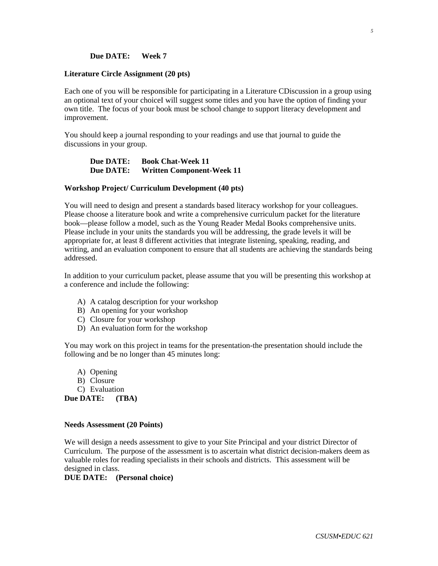# **Due DATE: Week 7**

#### **Literature Circle Assignment (20 pts)**

Each one of you will be responsible for participating in a Literature CDiscussion in a group using an optional text of your choiceI will suggest some titles and you have the option of finding your own title. The focus of your book must be school change to support literacy development and improvement.

You should keep a journal responding to your readings and use that journal to guide the discussions in your group.

# **Due DATE: Book Chat-Week 11 Due DATE: Written Component-Week 11**

#### **Workshop Project/ Curriculum Development (40 pts)**

You will need to design and present a standards based literacy workshop for your colleagues. Please choose a literature book and write a comprehensive curriculum packet for the literature book—please follow a model, such as the Young Reader Medal Books comprehensive units. Please include in your units the standards you will be addressing, the grade levels it will be appropriate for, at least 8 different activities that integrate listening, speaking, reading, and writing, and an evaluation component to ensure that all students are achieving the standards being addressed.

In addition to your curriculum packet, please assume that you will be presenting this workshop at a conference and include the following:

- A) A catalog description for your workshop
- B) An opening for your workshop
- C) Closure for your workshop
- D) An evaluation form for the workshop

You may work on this project in teams for the presentation-the presentation should include the following and be no longer than 45 minutes long:

- A) Opening
- B) Closure
- C) Evaluation

**Due DATE: (TBA)** 

#### **Needs Assessment (20 Points)**

We will design a needs assessment to give to your Site Principal and your district Director of Curriculum. The purpose of the assessment is to ascertain what district decision-makers deem as valuable roles for reading specialists in their schools and districts. This assessment will be designed in class.

**DUE DATE: (Personal choice)**